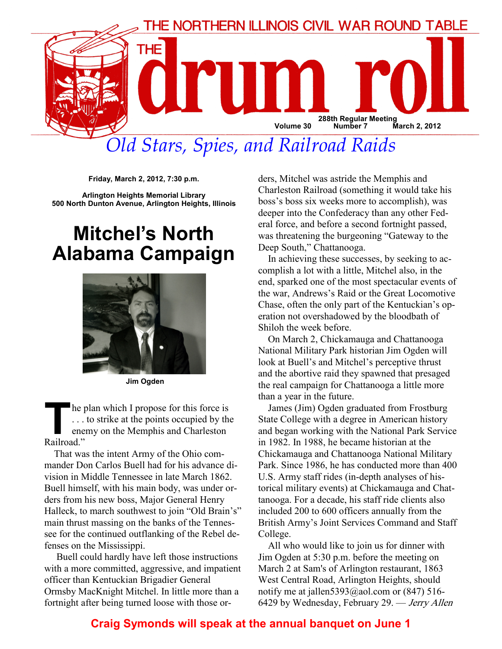

# Old Stars, Spies, and Railroad Raids

Friday, March 2, 2012, 7:30 p.m.

Arlington Heights Memorial Library 500 North Dunton Avenue, Arlington Heights, Illinois

## Mitchel's North Alabama Campaign



Jim Ogden

The plan which I propose for this force is . . . to strike at the points occupied by the enemy on the Memphis and Charleston Railroad."

That was the intent Army of the Ohio commander Don Carlos Buell had for his advance division in Middle Tennessee in late March 1862. Buell himself, with his main body, was under orders from his new boss, Major General Henry Halleck, to march southwest to join "Old Brain's" main thrust massing on the banks of the Tennessee for the continued outflanking of the Rebel defenses on the Mississippi.

 Buell could hardly have left those instructions with a more committed, aggressive, and impatient officer than Kentuckian Brigadier General Ormsby MacKnight Mitchel. In little more than a fortnight after being turned loose with those orders, Mitchel was astride the Memphis and Charleston Railroad (something it would take his boss's boss six weeks more to accomplish), was deeper into the Confederacy than any other Federal force, and before a second fortnight passed, was threatening the burgeoning "Gateway to the Deep South," Chattanooga.

In achieving these successes, by seeking to accomplish a lot with a little, Mitchel also, in the end, sparked one of the most spectacular events of the war, Andrews's Raid or the Great Locomotive Chase, often the only part of the Kentuckian's operation not overshadowed by the bloodbath of Shiloh the week before.

On March 2, Chickamauga and Chattanooga National Military Park historian Jim Ogden will look at Buell's and Mitchel's perceptive thrust and the abortive raid they spawned that presaged the real campaign for Chattanooga a little more than a year in the future.

James (Jim) Ogden graduated from Frostburg State College with a degree in American history and began working with the National Park Service in 1982. In 1988, he became historian at the Chickamauga and Chattanooga National Military Park. Since 1986, he has conducted more than 400 U.S. Army staff rides (in-depth analyses of historical military events) at Chickamauga and Chattanooga. For a decade, his staff ride clients also included 200 to 600 officers annually from the British Army's Joint Services Command and Staff College.

All who would like to join us for dinner with Jim Ogden at 5:30 p.m. before the meeting on March 2 at Sam's of Arlington restaurant, 1863 West Central Road, Arlington Heights, should notify me at jallen5393@aol.com or  $(847)$  516-6429 by Wednesday, February 29. — Jerry Allen

#### Craig Symonds will speak at the annual banquet on June 1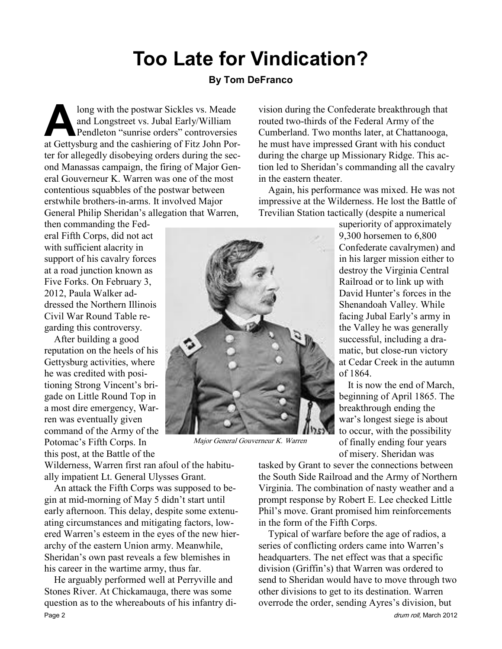# Too Late for Vindication?

#### By Tom DeFranco

long with the postwar Sickles vs. Meade<br>and Longstreet vs. Jubal Early/William<br>Pendleton "sunrise orders" controversies<br>at Gettysburg and the cashiering of Fitz John Por and Longstreet vs. Jubal Early/William Pendleton "sunrise orders" controversies at Gettysburg and the cashiering of Fitz John Porter for allegedly disobeying orders during the second Manassas campaign, the firing of Major General Gouverneur K. Warren was one of the most contentious squabbles of the postwar between erstwhile brothers-in-arms. It involved Major General Philip Sheridan's allegation that Warren,

then commanding the Federal Fifth Corps, did not act with sufficient alacrity in support of his cavalry forces at a road junction known as Five Forks. On February 3, 2012, Paula Walker addressed the Northern Illinois Civil War Round Table regarding this controversy.

After building a good reputation on the heels of his Gettysburg activities, where he was credited with positioning Strong Vincent's brigade on Little Round Top in a most dire emergency, Warren was eventually given command of the Army of the Potomac's Fifth Corps. In this post, at the Battle of the

Wilderness, Warren first ran afoul of the habitually impatient Lt. General Ulysses Grant.

An attack the Fifth Corps was supposed to begin at mid-morning of May 5 didn't start until early afternoon. This delay, despite some extenuating circumstances and mitigating factors, lowered Warren's esteem in the eyes of the new hierarchy of the eastern Union army. Meanwhile, Sheridan's own past reveals a few blemishes in his career in the wartime army, thus far.

He arguably performed well at Perryville and Stones River. At Chickamauga, there was some question as to the whereabouts of his infantry di-Page 2 drum roll, March 2012

vision during the Confederate breakthrough that routed two-thirds of the Federal Army of the Cumberland. Two months later, at Chattanooga, he must have impressed Grant with his conduct during the charge up Missionary Ridge. This action led to Sheridan's commanding all the cavalry in the eastern theater.

Again, his performance was mixed. He was not impressive at the Wilderness. He lost the Battle of Trevilian Station tactically (despite a numerical

> superiority of approximately 9,300 horsemen to 6,800 Confederate cavalrymen) and in his larger mission either to destroy the Virginia Central Railroad or to link up with David Hunter's forces in the Shenandoah Valley. While facing Jubal Early's army in the Valley he was generally successful, including a dramatic, but close-run victory at Cedar Creek in the autumn of 1864.

> It is now the end of March, beginning of April 1865. The breakthrough ending the war's longest siege is about to occur, with the possibility of finally ending four years of misery. Sheridan was

tasked by Grant to sever the connections between the South Side Railroad and the Army of Northern Virginia. The combination of nasty weather and a prompt response by Robert E. Lee checked Little Phil's move. Grant promised him reinforcements in the form of the Fifth Corps.

Typical of warfare before the age of radios, a series of conflicting orders came into Warren's headquarters. The net effect was that a specific division (Griffin's) that Warren was ordered to send to Sheridan would have to move through two other divisions to get to its destination. Warren overrode the order, sending Ayres's division, but



Major General Gouverneur K. Warren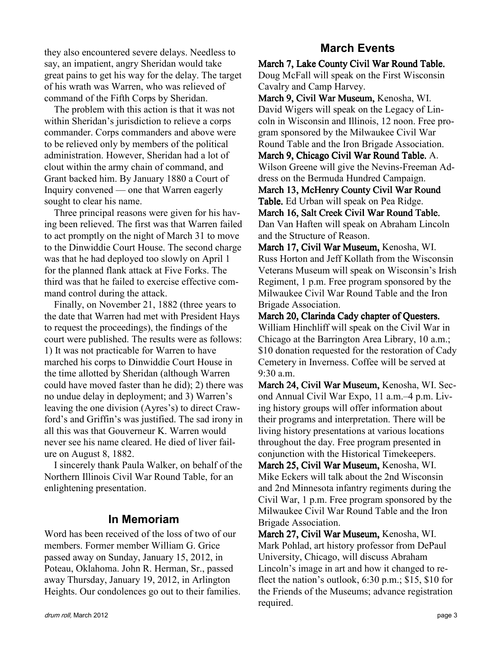they also encountered severe delays. Needless to say, an impatient, angry Sheridan would take great pains to get his way for the delay. The target of his wrath was Warren, who was relieved of command of the Fifth Corps by Sheridan.

The problem with this action is that it was not within Sheridan's jurisdiction to relieve a corps commander. Corps commanders and above were to be relieved only by members of the political administration. However, Sheridan had a lot of clout within the army chain of command, and Grant backed him. By January 1880 a Court of Inquiry convened — one that Warren eagerly sought to clear his name.

Three principal reasons were given for his having been relieved. The first was that Warren failed to act promptly on the night of March 31 to move to the Dinwiddie Court House. The second charge was that he had deployed too slowly on April 1 for the planned flank attack at Five Forks. The third was that he failed to exercise effective command control during the attack.

Finally, on November 21, 1882 (three years to the date that Warren had met with President Hays to request the proceedings), the findings of the court were published. The results were as follows: 1) It was not practicable for Warren to have marched his corps to Dinwiddie Court House in the time allotted by Sheridan (although Warren could have moved faster than he did); 2) there was no undue delay in deployment; and 3) Warren's leaving the one division (Ayres's) to direct Crawford's and Griffin's was justified. The sad irony in all this was that Gouverneur K. Warren would never see his name cleared. He died of liver failure on August 8, 1882.

I sincerely thank Paula Walker, on behalf of the Northern Illinois Civil War Round Table, for an enlightening presentation.

#### In Memoriam

Word has been received of the loss of two of our members. Former member William G. Grice passed away on Sunday, January 15, 2012, in Poteau, Oklahoma. John R. Herman, Sr., passed away Thursday, January 19, 2012, in Arlington Heights. Our condolences go out to their families.

### March Events

March 7, Lake County Civil War Round Table. Doug McFall will speak on the First Wisconsin Cavalry and Camp Harvey.

March 9, Civil War Museum, Kenosha, WI. David Wigers will speak on the Legacy of Lincoln in Wisconsin and Illinois, 12 noon. Free program sponsored by the Milwaukee Civil War Round Table and the Iron Brigade Association.

March 9, Chicago Civil War Round Table. A. Wilson Greene will give the Nevins-Freeman Address on the Bermuda Hundred Campaign.

March 13, McHenry County Civil War Round Table. Ed Urban will speak on Pea Ridge.

March 16, Salt Creek Civil War Round Table. Dan Van Haften will speak on Abraham Lincoln and the Structure of Reason.

March 17, Civil War Museum, Kenosha, WI. Russ Horton and Jeff Kollath from the Wisconsin Veterans Museum will speak on Wisconsin's Irish Regiment, 1 p.m. Free program sponsored by the Milwaukee Civil War Round Table and the Iron Brigade Association.

March 20, Clarinda Cady chapter of Questers. William Hinchliff will speak on the Civil War in Chicago at the Barrington Area Library, 10 a.m.; \$10 donation requested for the restoration of Cady Cemetery in Inverness. Coffee will be served at 9:30 a.m.

March 24, Civil War Museum, Kenosha, WI. Second Annual Civil War Expo, 11 a.m.–4 p.m. Living history groups will offer information about their programs and interpretation. There will be living history presentations at various locations throughout the day. Free program presented in conjunction with the Historical Timekeepers.

March 25, Civil War Museum, Kenosha, WI. Mike Eckers will talk about the 2nd Wisconsin and 2nd Minnesota infantry regiments during the Civil War, 1 p.m. Free program sponsored by the Milwaukee Civil War Round Table and the Iron Brigade Association.

March 27, Civil War Museum, Kenosha, WI. Mark Pohlad, art history professor from DePaul University, Chicago, will discuss Abraham Lincoln's image in art and how it changed to reflect the nation's outlook, 6:30 p.m.; \$15, \$10 for the Friends of the Museums; advance registration required.